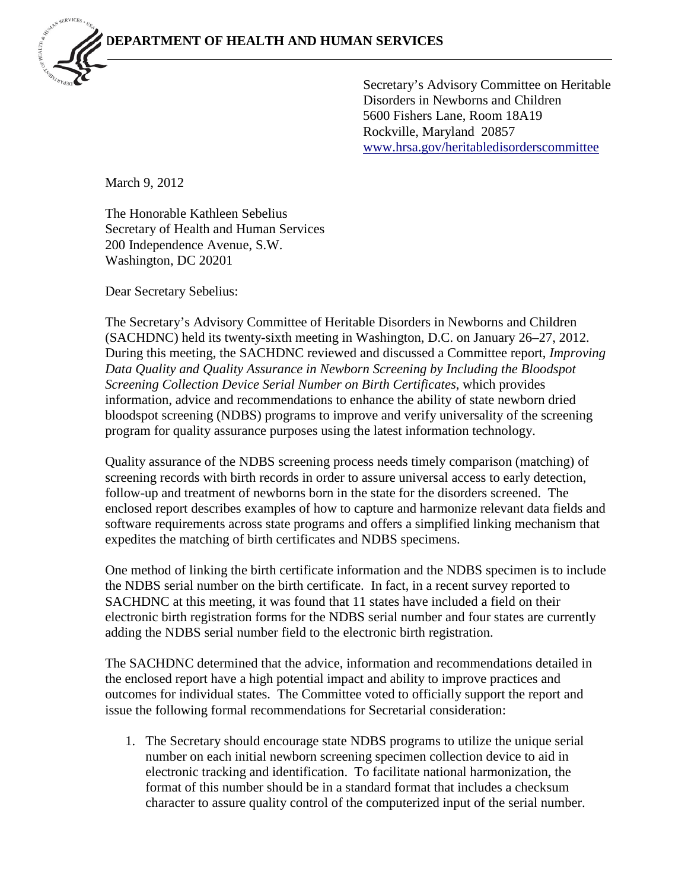Secretary's Advisory Committee on Heritable Disorders in Newborns and Children 5600 Fishers Lane, Room 18A19 Rockville, Maryland 20857 [www.hrsa.gov/heritabledisorderscommittee](http://www.hrsa.gov/heritabledisorderscommittee)

March 9, 2012

The Honorable Kathleen Sebelius Secretary of Health and Human Services 200 Independence Avenue, S.W. Washington, DC 20201

Dear Secretary Sebelius:

The Secretary's Advisory Committee of Heritable Disorders in Newborns and Children (SACHDNC) held its twenty-sixth meeting in Washington, D.C. on January 26–27, 2012. During this meeting, the SACHDNC reviewed and discussed a Committee report, *Improving Data Quality and Quality Assurance in Newborn Screening by Including the Bloodspot Screening Collection Device Serial Number on Birth Certificates*, which provides information, advice and recommendations to enhance the ability of state newborn dried bloodspot screening (NDBS) programs to improve and verify universality of the screening program for quality assurance purposes using the latest information technology.

Quality assurance of the NDBS screening process needs timely comparison (matching) of screening records with birth records in order to assure universal access to early detection, follow-up and treatment of newborns born in the state for the disorders screened. The enclosed report describes examples of how to capture and harmonize relevant data fields and software requirements across state programs and offers a simplified linking mechanism that expedites the matching of birth certificates and NDBS specimens.

One method of linking the birth certificate information and the NDBS specimen is to include the NDBS serial number on the birth certificate. In fact, in a recent survey reported to SACHDNC at this meeting, it was found that 11 states have included a field on their electronic birth registration forms for the NDBS serial number and four states are currently adding the NDBS serial number field to the electronic birth registration.

The SACHDNC determined that the advice, information and recommendations detailed in the enclosed report have a high potential impact and ability to improve practices and outcomes for individual states. The Committee voted to officially support the report and issue the following formal recommendations for Secretarial consideration:

1. The Secretary should encourage state NDBS programs to utilize the unique serial number on each initial newborn screening specimen collection device to aid in electronic tracking and identification. To facilitate national harmonization, the format of this number should be in a standard format that includes a checksum character to assure quality control of the computerized input of the serial number.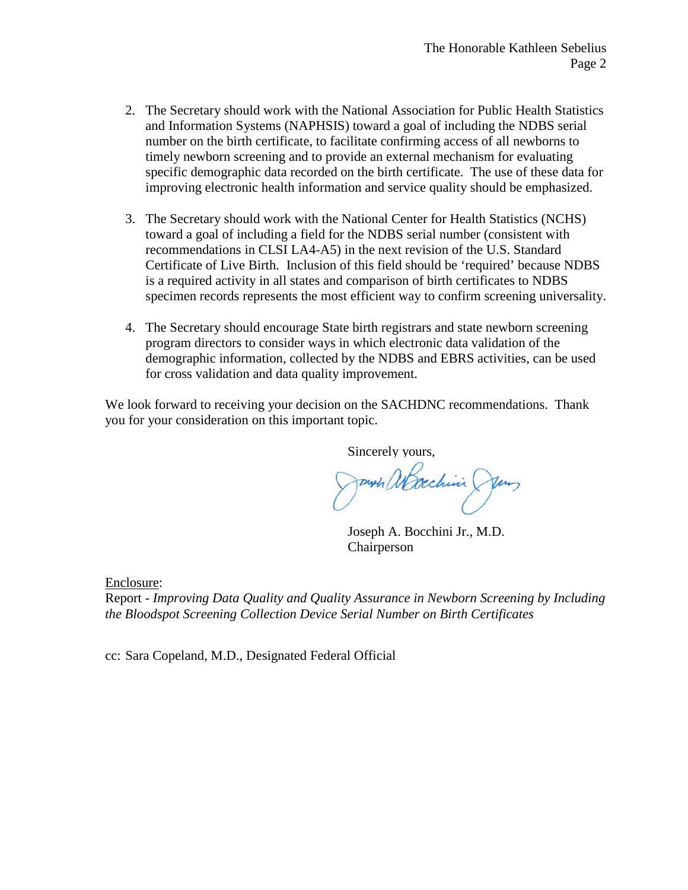- 2. The Secretary should work with the National Association for Public Health Statistics and Information Systems (NAPHSIS) toward a goal of including the NDBS serial number on the birth certificate, to facilitate confirming access of all newborns to timely newborn screening and to provide an external mechanism for evaluating specific demographic data recorded on the birth certificate. The use of these data for improving electronic health information and service quality should be emphasized.
- 3. The Secretary should work with the National Center for Health Statistics (NCHS) toward a goal of including a field for the NDBS serial number (consistent with recommendations in CLSI LA4-A5) in the next revision of the U.S. Standard Certificate of Live Birth. Inclusion of this field should be 'required' because NDBS is a required activity in all states and comparison of birth certificates to NDBS specimen records represents the most efficient way to confirm screening universality.
- 4. The Secretary should encourage State birth registrars and state newborn screening program directors to consider ways in which electronic data validation of the demographic information, collected by the NDBS and EBRS activities, can be used for cross validation and data quality improvement.

We look forward to receiving your decision on the SACHDNC recommendations. Thank you for your consideration on this important topic.

Sincerely yours,

Journ abrechini Jun

Joseph A. Bocchini Jr., M.D. Chairperson

Enclosure:

Report - *Improving Data Quality and Quality Assurance in Newborn Screening by Including the Bloodspot Screening Collection Device Serial Number on Birth Certificates*

cc: Sara Copeland, M.D., Designated Federal Official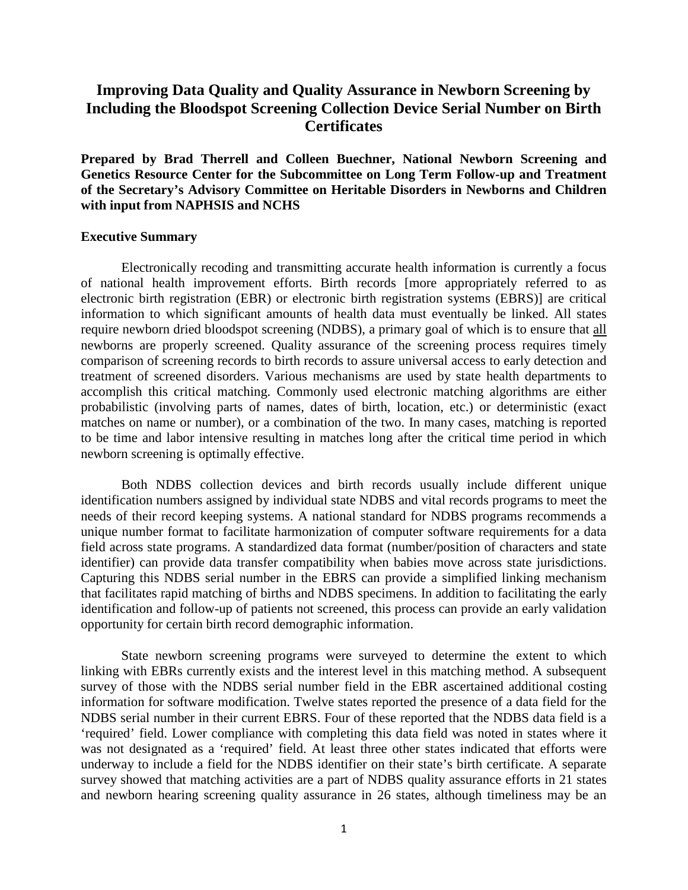# **Improving Data Quality and Quality Assurance in Newborn Screening by Including the Bloodspot Screening Collection Device Serial Number on Birth Certificates**

**Prepared by Brad Therrell and Colleen Buechner, National Newborn Screening and Genetics Resource Center for the Subcommittee on Long Term Follow-up and Treatment of the Secretary's Advisory Committee on Heritable Disorders in Newborns and Children with input from NAPHSIS and NCHS**

### **Executive Summary**

Electronically recoding and transmitting accurate health information is currently a focus of national health improvement efforts. Birth records [more appropriately referred to as electronic birth registration (EBR) or electronic birth registration systems (EBRS)] are critical information to which significant amounts of health data must eventually be linked. All states require newborn dried bloodspot screening (NDBS), a primary goal of which is to ensure that all newborns are properly screened. Quality assurance of the screening process requires timely comparison of screening records to birth records to assure universal access to early detection and treatment of screened disorders. Various mechanisms are used by state health departments to accomplish this critical matching. Commonly used electronic matching algorithms are either probabilistic (involving parts of names, dates of birth, location, etc.) or deterministic (exact matches on name or number), or a combination of the two. In many cases, matching is reported to be time and labor intensive resulting in matches long after the critical time period in which newborn screening is optimally effective.

Both NDBS collection devices and birth records usually include different unique identification numbers assigned by individual state NDBS and vital records programs to meet the needs of their record keeping systems. A national standard for NDBS programs recommends a unique number format to facilitate harmonization of computer software requirements for a data field across state programs. A standardized data format (number/position of characters and state identifier) can provide data transfer compatibility when babies move across state jurisdictions. Capturing this NDBS serial number in the EBRS can provide a simplified linking mechanism that facilitates rapid matching of births and NDBS specimens. In addition to facilitating the early identification and follow-up of patients not screened, this process can provide an early validation opportunity for certain birth record demographic information.

State newborn screening programs were surveyed to determine the extent to which linking with EBRs currently exists and the interest level in this matching method. A subsequent survey of those with the NDBS serial number field in the EBR ascertained additional costing information for software modification. Twelve states reported the presence of a data field for the NDBS serial number in their current EBRS. Four of these reported that the NDBS data field is a 'required' field. Lower compliance with completing this data field was noted in states where it was not designated as a 'required' field. At least three other states indicated that efforts were underway to include a field for the NDBS identifier on their state's birth certificate. A separate survey showed that matching activities are a part of NDBS quality assurance efforts in 21 states and newborn hearing screening quality assurance in 26 states, although timeliness may be an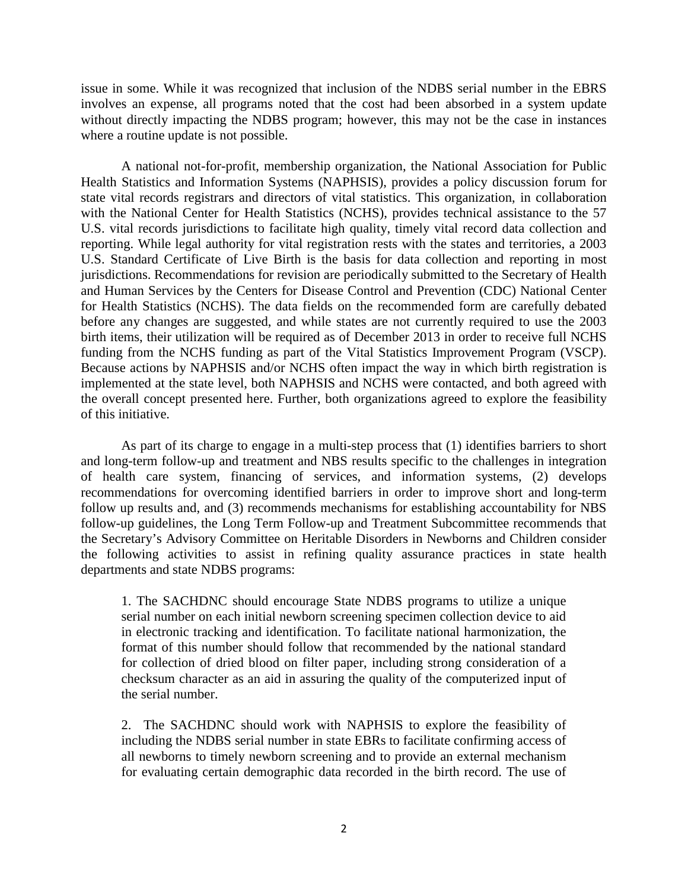issue in some. While it was recognized that inclusion of the NDBS serial number in the EBRS involves an expense, all programs noted that the cost had been absorbed in a system update without directly impacting the NDBS program; however, this may not be the case in instances where a routine update is not possible.

A national not-for-profit, membership organization, the National Association for Public Health Statistics and Information Systems (NAPHSIS), provides a policy discussion forum for state vital records registrars and directors of vital statistics. This organization, in collaboration with the National Center for Health Statistics (NCHS), provides technical assistance to the 57 U.S. vital records jurisdictions to facilitate high quality, timely vital record data collection and reporting. While legal authority for vital registration rests with the states and territories, a 2003 U.S. Standard Certificate of Live Birth is the basis for data collection and reporting in most jurisdictions. Recommendations for revision are periodically submitted to the Secretary of Health and Human Services by the Centers for Disease Control and Prevention (CDC) National Center for Health Statistics (NCHS). The data fields on the recommended form are carefully debated before any changes are suggested, and while states are not currently required to use the 2003 birth items, their utilization will be required as of December 2013 in order to receive full NCHS funding from the NCHS funding as part of the Vital Statistics Improvement Program (VSCP). Because actions by NAPHSIS and/or NCHS often impact the way in which birth registration is implemented at the state level, both NAPHSIS and NCHS were contacted, and both agreed with the overall concept presented here. Further, both organizations agreed to explore the feasibility of this initiative.

As part of its charge to engage in a multi-step process that (1) identifies barriers to short and long-term follow-up and treatment and NBS results specific to the challenges in integration of health care system, financing of services, and information systems, (2) develops recommendations for overcoming identified barriers in order to improve short and long-term follow up results and, and (3) recommends mechanisms for establishing accountability for NBS follow-up guidelines, the Long Term Follow-up and Treatment Subcommittee recommends that the Secretary's Advisory Committee on Heritable Disorders in Newborns and Children consider the following activities to assist in refining quality assurance practices in state health departments and state NDBS programs:

1. The SACHDNC should encourage State NDBS programs to utilize a unique serial number on each initial newborn screening specimen collection device to aid in electronic tracking and identification. To facilitate national harmonization, the format of this number should follow that recommended by the national standard for collection of dried blood on filter paper, including strong consideration of a checksum character as an aid in assuring the quality of the computerized input of the serial number.

2. The SACHDNC should work with NAPHSIS to explore the feasibility of including the NDBS serial number in state EBRs to facilitate confirming access of all newborns to timely newborn screening and to provide an external mechanism for evaluating certain demographic data recorded in the birth record. The use of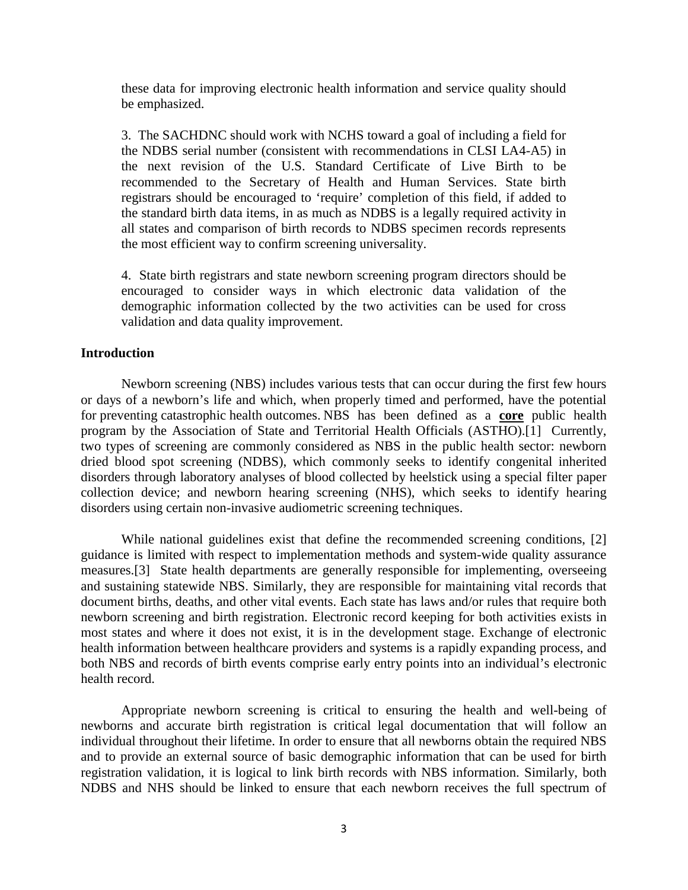these data for improving electronic health information and service quality should be emphasized.

3. The SACHDNC should work with NCHS toward a goal of including a field for the NDBS serial number (consistent with recommendations in CLSI LA4-A5) in the next revision of the U.S. Standard Certificate of Live Birth to be recommended to the Secretary of Health and Human Services. State birth registrars should be encouraged to 'require' completion of this field, if added to the standard birth data items, in as much as NDBS is a legally required activity in all states and comparison of birth records to NDBS specimen records represents the most efficient way to confirm screening universality.

4. State birth registrars and state newborn screening program directors should be encouraged to consider ways in which electronic data validation of the demographic information collected by the two activities can be used for cross validation and data quality improvement.

### **Introduction**

Newborn screening (NBS) includes various tests that can occur during the first few hours or days of a newborn's life and which, when properly timed and performed, have the potential for preventing catastrophic health outcomes. NBS has been defined as a **core** public health program by the Association of State and Territorial Health Officials (ASTHO).[1] Currently, two types of screening are commonly considered as NBS in the public health sector: newborn dried blood spot screening (NDBS), which commonly seeks to identify congenital inherited disorders through laboratory analyses of blood collected by heelstick using a special filter paper collection device; and newborn hearing screening (NHS), which seeks to identify hearing disorders using certain non-invasive audiometric screening techniques.

While national guidelines exist that define the recommended screening conditions, [2] guidance is limited with respect to implementation methods and system-wide quality assurance measures.[3] State health departments are generally responsible for implementing, overseeing and sustaining statewide NBS. Similarly, they are responsible for maintaining vital records that document births, deaths, and other vital events. Each state has laws and/or rules that require both newborn screening and birth registration. Electronic record keeping for both activities exists in most states and where it does not exist, it is in the development stage. Exchange of electronic health information between healthcare providers and systems is a rapidly expanding process, and both NBS and records of birth events comprise early entry points into an individual's electronic health record.

Appropriate newborn screening is critical to ensuring the health and well-being of newborns and accurate birth registration is critical legal documentation that will follow an individual throughout their lifetime. In order to ensure that all newborns obtain the required NBS and to provide an external source of basic demographic information that can be used for birth registration validation, it is logical to link birth records with NBS information. Similarly, both NDBS and NHS should be linked to ensure that each newborn receives the full spectrum of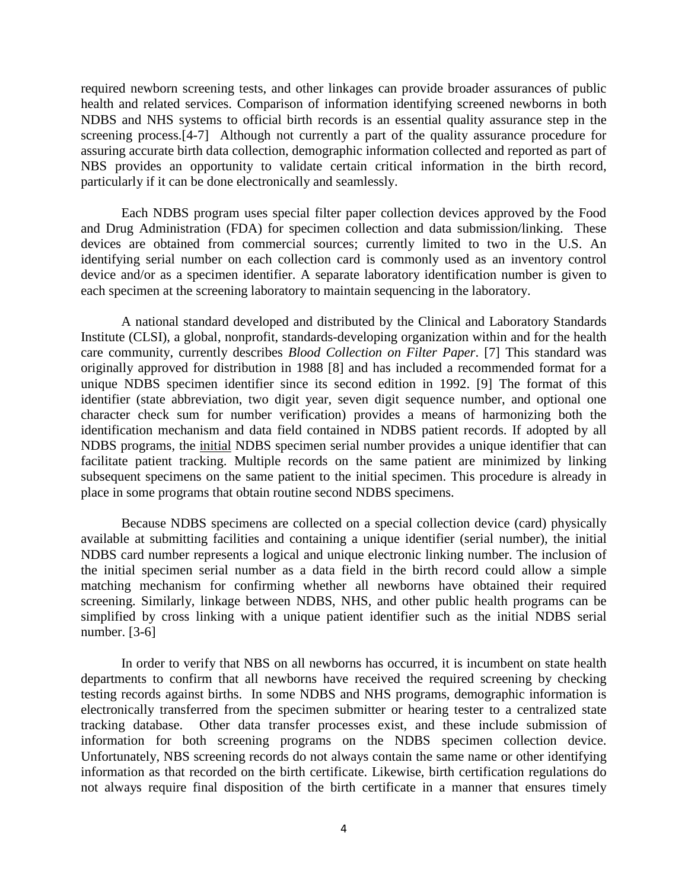required newborn screening tests, and other linkages can provide broader assurances of public health and related services. Comparison of information identifying screened newborns in both NDBS and NHS systems to official birth records is an essential quality assurance step in the screening process.[4-7] Although not currently a part of the quality assurance procedure for assuring accurate birth data collection, demographic information collected and reported as part of NBS provides an opportunity to validate certain critical information in the birth record, particularly if it can be done electronically and seamlessly.

Each NDBS program uses special filter paper collection devices approved by the Food and Drug Administration (FDA) for specimen collection and data submission/linking. These devices are obtained from commercial sources; currently limited to two in the U.S. An identifying serial number on each collection card is commonly used as an inventory control device and/or as a specimen identifier. A separate laboratory identification number is given to each specimen at the screening laboratory to maintain sequencing in the laboratory.

A national standard developed and distributed by the Clinical and Laboratory Standards Institute (CLSI), a global, nonprofit, standards-developing organization within and for the health care community, currently describes *Blood Collection on Filter Paper*. [7] This standard was originally approved for distribution in 1988 [8] and has included a recommended format for a unique NDBS specimen identifier since its second edition in 1992. [9] The format of this identifier (state abbreviation, two digit year, seven digit sequence number, and optional one character check sum for number verification) provides a means of harmonizing both the identification mechanism and data field contained in NDBS patient records. If adopted by all NDBS programs, the *initial* NDBS specimen serial number provides a unique identifier that can facilitate patient tracking. Multiple records on the same patient are minimized by linking subsequent specimens on the same patient to the initial specimen. This procedure is already in place in some programs that obtain routine second NDBS specimens.

Because NDBS specimens are collected on a special collection device (card) physically available at submitting facilities and containing a unique identifier (serial number), the initial NDBS card number represents a logical and unique electronic linking number. The inclusion of the initial specimen serial number as a data field in the birth record could allow a simple matching mechanism for confirming whether all newborns have obtained their required screening. Similarly, linkage between NDBS, NHS, and other public health programs can be simplified by cross linking with a unique patient identifier such as the initial NDBS serial number. [3-6]

In order to verify that NBS on all newborns has occurred, it is incumbent on state health departments to confirm that all newborns have received the required screening by checking testing records against births. In some NDBS and NHS programs, demographic information is electronically transferred from the specimen submitter or hearing tester to a centralized state tracking database. Other data transfer processes exist, and these include submission of information for both screening programs on the NDBS specimen collection device. Unfortunately, NBS screening records do not always contain the same name or other identifying information as that recorded on the birth certificate. Likewise, birth certification regulations do not always require final disposition of the birth certificate in a manner that ensures timely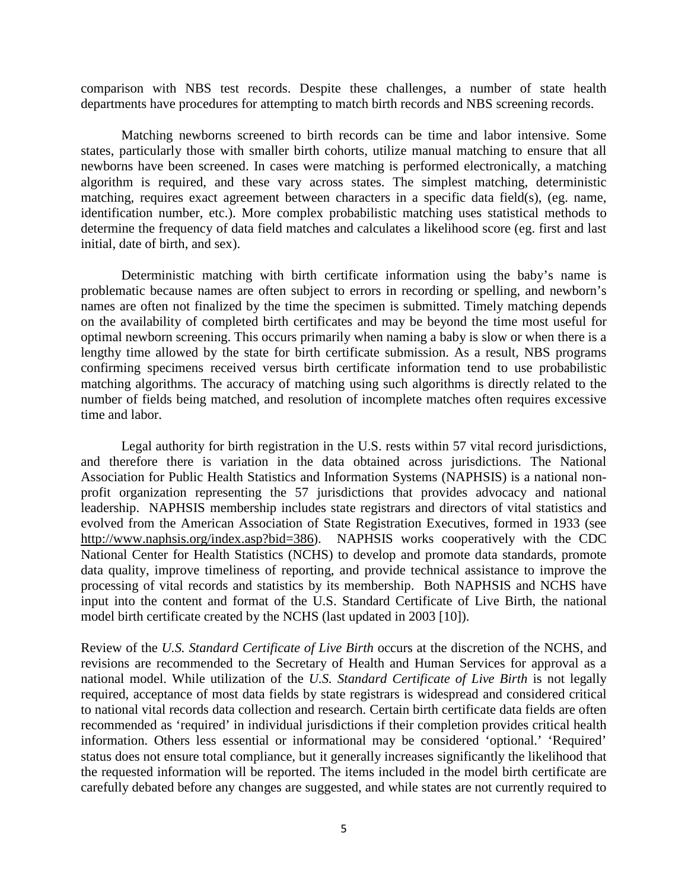comparison with NBS test records. Despite these challenges, a number of state health departments have procedures for attempting to match birth records and NBS screening records.

Matching newborns screened to birth records can be time and labor intensive. Some states, particularly those with smaller birth cohorts, utilize manual matching to ensure that all newborns have been screened. In cases were matching is performed electronically, a matching algorithm is required, and these vary across states. The simplest matching, deterministic matching, requires exact agreement between characters in a specific data field(s), (eg. name, identification number, etc.). More complex probabilistic matching uses statistical methods to determine the frequency of data field matches and calculates a likelihood score (eg. first and last initial, date of birth, and sex).

Deterministic matching with birth certificate information using the baby's name is problematic because names are often subject to errors in recording or spelling, and newborn's names are often not finalized by the time the specimen is submitted. Timely matching depends on the availability of completed birth certificates and may be beyond the time most useful for optimal newborn screening. This occurs primarily when naming a baby is slow or when there is a lengthy time allowed by the state for birth certificate submission. As a result, NBS programs confirming specimens received versus birth certificate information tend to use probabilistic matching algorithms. The accuracy of matching using such algorithms is directly related to the number of fields being matched, and resolution of incomplete matches often requires excessive time and labor.

Legal authority for birth registration in the U.S. rests within 57 vital record jurisdictions, and therefore there is variation in the data obtained across jurisdictions. The National Association for Public Health Statistics and Information Systems (NAPHSIS) is a national nonprofit organization representing the 57 jurisdictions that provides advocacy and national leadership. NAPHSIS membership includes state registrars and directors of vital statistics and evolved from the American Association of State Registration Executives, formed in 1933 (see [http://www.naphsis.org/index.asp?bid=386\)](http://www.naphsis.org/index.asp?bid=386). NAPHSIS works cooperatively with the CDC National Center for Health Statistics (NCHS) to develop and promote data standards, promote data quality, improve timeliness of reporting, and provide technical assistance to improve the processing of vital records and statistics by its membership. Both NAPHSIS and NCHS have input into the content and format of the U.S. Standard Certificate of Live Birth, the national model birth certificate created by the NCHS (last updated in 2003 [10]).

Review of the *U.S. Standard Certificate of Live Birth* occurs at the discretion of the NCHS, and revisions are recommended to the Secretary of Health and Human Services for approval as a national model. While utilization of the *U.S. Standard Certificate of Live Birth* is not legally required, acceptance of most data fields by state registrars is widespread and considered critical to national vital records data collection and research. Certain birth certificate data fields are often recommended as 'required' in individual jurisdictions if their completion provides critical health information. Others less essential or informational may be considered 'optional.' 'Required' status does not ensure total compliance, but it generally increases significantly the likelihood that the requested information will be reported. The items included in the model birth certificate are carefully debated before any changes are suggested, and while states are not currently required to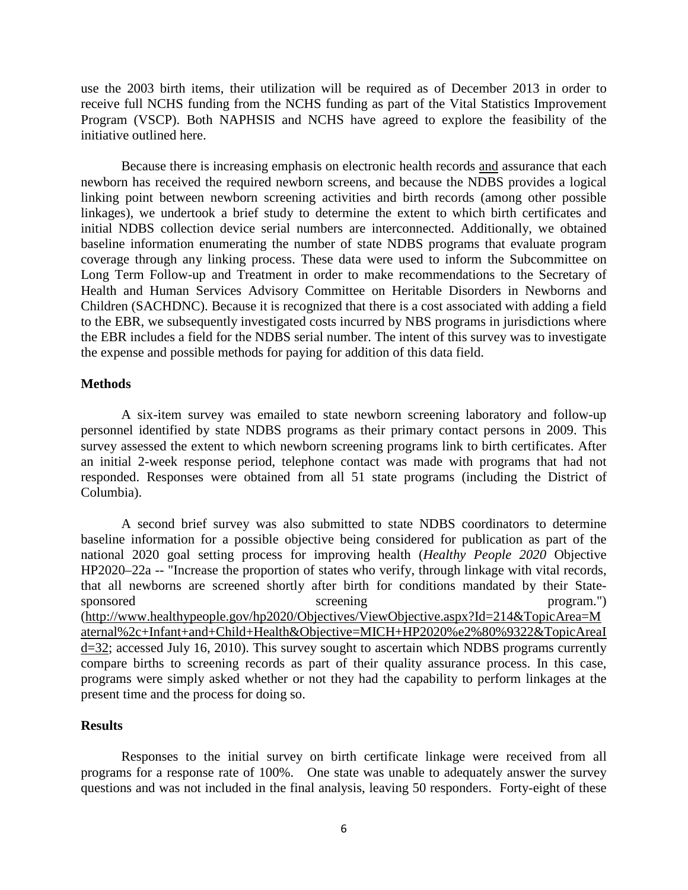use the 2003 birth items, their utilization will be required as of December 2013 in order to receive full NCHS funding from the NCHS funding as part of the Vital Statistics Improvement Program (VSCP). Both NAPHSIS and NCHS have agreed to explore the feasibility of the initiative outlined here.

Because there is increasing emphasis on electronic health records and assurance that each newborn has received the required newborn screens, and because the NDBS provides a logical linking point between newborn screening activities and birth records (among other possible linkages), we undertook a brief study to determine the extent to which birth certificates and initial NDBS collection device serial numbers are interconnected. Additionally, we obtained baseline information enumerating the number of state NDBS programs that evaluate program coverage through any linking process. These data were used to inform the Subcommittee on Long Term Follow-up and Treatment in order to make recommendations to the Secretary of Health and Human Services Advisory Committee on Heritable Disorders in Newborns and Children (SACHDNC). Because it is recognized that there is a cost associated with adding a field to the EBR, we subsequently investigated costs incurred by NBS programs in jurisdictions where the EBR includes a field for the NDBS serial number. The intent of this survey was to investigate the expense and possible methods for paying for addition of this data field.

### **Methods**

A six-item survey was emailed to state newborn screening laboratory and follow-up personnel identified by state NDBS programs as their primary contact persons in 2009. This survey assessed the extent to which newborn screening programs link to birth certificates. After an initial 2-week response period, telephone contact was made with programs that had not responded. Responses were obtained from all 51 state programs (including the District of Columbia).

A second brief survey was also submitted to state NDBS coordinators to determine baseline information for a possible objective being considered for publication as part of the national 2020 goal setting process for improving health (*Healthy People 2020* Objective HP2020–22a -- "Increase the proportion of states who verify, through linkage with vital records, that all newborns are screened shortly after birth for conditions mandated by their Statesponsored screening program.") [\(http://www.healthypeople.gov/hp2020/Objectives/ViewObjective.aspx?Id=214&TopicArea=M](http://www.healthypeople.gov/hp2020/Objectives/ViewObjective.aspx?Id=214&TopicArea=Maternal%2c+Infant+and+Child+Health&Objective=MICH+HP2020%e2%80%9322&TopicAreaId=32) [aternal%2c+Infant+and+Child+Health&Objective=MICH+HP2020%e2%80%9322&TopicAreaI](http://www.healthypeople.gov/hp2020/Objectives/ViewObjective.aspx?Id=214&TopicArea=Maternal%2c+Infant+and+Child+Health&Objective=MICH+HP2020%e2%80%9322&TopicAreaId=32)  $d=32$ ; accessed July 16, 2010). This survey sought to ascertain which NDBS programs currently compare births to screening records as part of their quality assurance process. In this case, programs were simply asked whether or not they had the capability to perform linkages at the present time and the process for doing so.

### **Results**

Responses to the initial survey on birth certificate linkage were received from all programs for a response rate of 100%. One state was unable to adequately answer the survey questions and was not included in the final analysis, leaving 50 responders. Forty-eight of these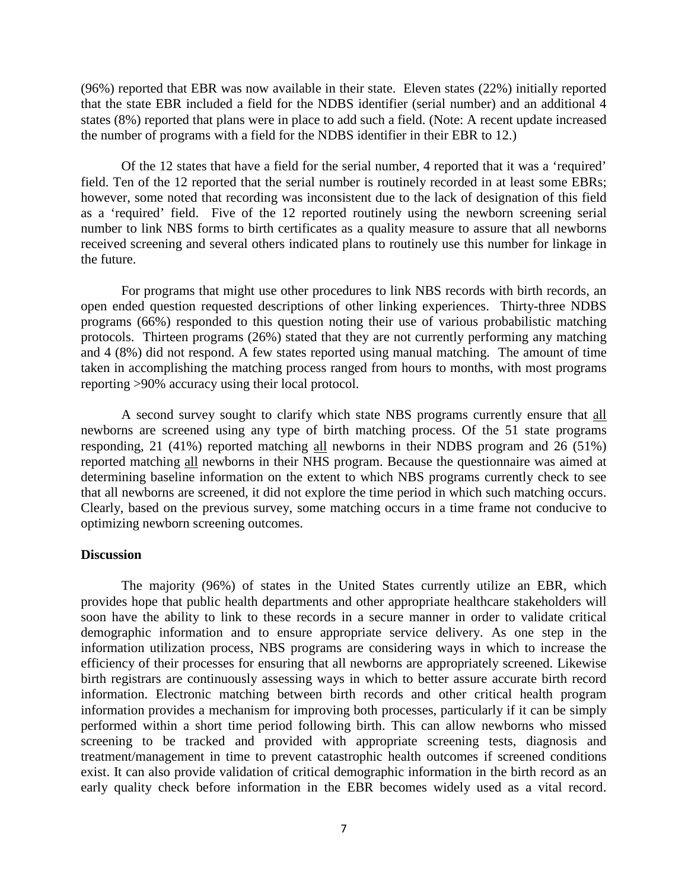(96%) reported that EBR was now available in their state. Eleven states (22%) initially reported that the state EBR included a field for the NDBS identifier (serial number) and an additional 4 states (8%) reported that plans were in place to add such a field. (Note: A recent update increased the number of programs with a field for the NDBS identifier in their EBR to 12.)

Of the 12 states that have a field for the serial number, 4 reported that it was a 'required' field. Ten of the 12 reported that the serial number is routinely recorded in at least some EBRs; however, some noted that recording was inconsistent due to the lack of designation of this field as a 'required' field. Five of the 12 reported routinely using the newborn screening serial number to link NBS forms to birth certificates as a quality measure to assure that all newborns received screening and several others indicated plans to routinely use this number for linkage in the future.

For programs that might use other procedures to link NBS records with birth records, an open ended question requested descriptions of other linking experiences. Thirty-three NDBS programs (66%) responded to this question noting their use of various probabilistic matching protocols. Thirteen programs (26%) stated that they are not currently performing any matching and 4 (8%) did not respond. A few states reported using manual matching. The amount of time taken in accomplishing the matching process ranged from hours to months, with most programs reporting >90% accuracy using their local protocol.

A second survey sought to clarify which state NBS programs currently ensure that all newborns are screened using any type of birth matching process. Of the 51 state programs responding, 21 (41%) reported matching all newborns in their NDBS program and 26 (51%) reported matching all newborns in their NHS program. Because the questionnaire was aimed at determining baseline information on the extent to which NBS programs currently check to see that all newborns are screened, it did not explore the time period in which such matching occurs. Clearly, based on the previous survey, some matching occurs in a time frame not conducive to optimizing newborn screening outcomes.

#### **Discussion**

The majority (96%) of states in the United States currently utilize an EBR, which provides hope that public health departments and other appropriate healthcare stakeholders will soon have the ability to link to these records in a secure manner in order to validate critical demographic information and to ensure appropriate service delivery. As one step in the information utilization process, NBS programs are considering ways in which to increase the efficiency of their processes for ensuring that all newborns are appropriately screened. Likewise birth registrars are continuously assessing ways in which to better assure accurate birth record information. Electronic matching between birth records and other critical health program information provides a mechanism for improving both processes, particularly if it can be simply performed within a short time period following birth. This can allow newborns who missed screening to be tracked and provided with appropriate screening tests, diagnosis and treatment/management in time to prevent catastrophic health outcomes if screened conditions exist. It can also provide validation of critical demographic information in the birth record as an early quality check before information in the EBR becomes widely used as a vital record.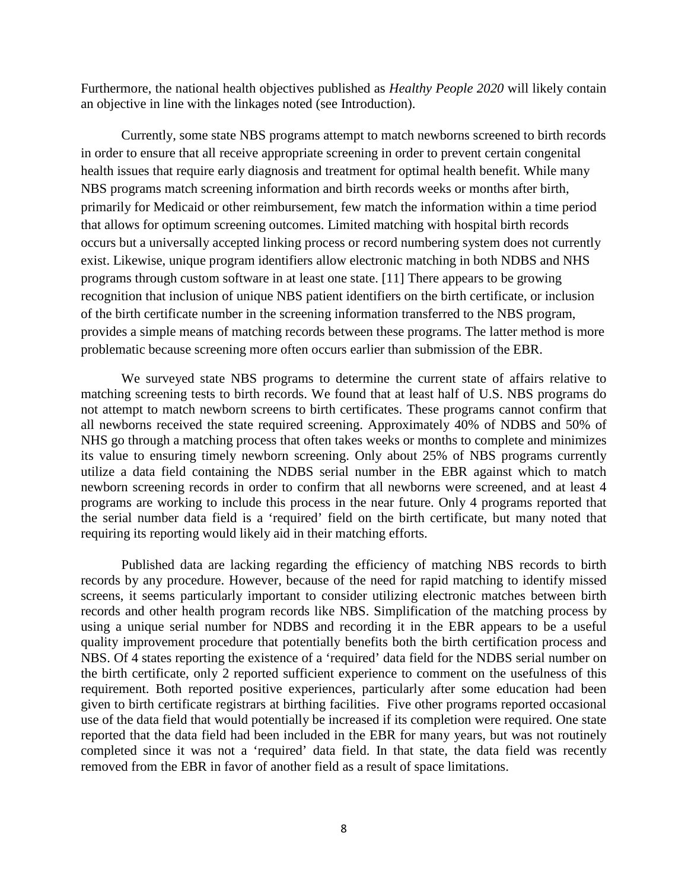Furthermore, the national health objectives published as *Healthy People 2020* will likely contain an objective in line with the linkages noted (see Introduction).

Currently, some state NBS programs attempt to match newborns screened to birth records in order to ensure that all receive appropriate screening in order to prevent certain congenital health issues that require early diagnosis and treatment for optimal health benefit. While many NBS programs match screening information and birth records weeks or months after birth, primarily for Medicaid or other reimbursement, few match the information within a time period that allows for optimum screening outcomes. Limited matching with hospital birth records occurs but a universally accepted linking process or record numbering system does not currently exist. Likewise, unique program identifiers allow electronic matching in both NDBS and NHS programs through custom software in at least one state. [11] There appears to be growing recognition that inclusion of unique NBS patient identifiers on the birth certificate, or inclusion of the birth certificate number in the screening information transferred to the NBS program, provides a simple means of matching records between these programs. The latter method is more problematic because screening more often occurs earlier than submission of the EBR.

We surveyed state NBS programs to determine the current state of affairs relative to matching screening tests to birth records. We found that at least half of U.S. NBS programs do not attempt to match newborn screens to birth certificates. These programs cannot confirm that all newborns received the state required screening. Approximately 40% of NDBS and 50% of NHS go through a matching process that often takes weeks or months to complete and minimizes its value to ensuring timely newborn screening. Only about 25% of NBS programs currently utilize a data field containing the NDBS serial number in the EBR against which to match newborn screening records in order to confirm that all newborns were screened, and at least 4 programs are working to include this process in the near future. Only 4 programs reported that the serial number data field is a 'required' field on the birth certificate, but many noted that requiring its reporting would likely aid in their matching efforts.

Published data are lacking regarding the efficiency of matching NBS records to birth records by any procedure. However, because of the need for rapid matching to identify missed screens, it seems particularly important to consider utilizing electronic matches between birth records and other health program records like NBS. Simplification of the matching process by using a unique serial number for NDBS and recording it in the EBR appears to be a useful quality improvement procedure that potentially benefits both the birth certification process and NBS. Of 4 states reporting the existence of a 'required' data field for the NDBS serial number on the birth certificate, only 2 reported sufficient experience to comment on the usefulness of this requirement. Both reported positive experiences, particularly after some education had been given to birth certificate registrars at birthing facilities. Five other programs reported occasional use of the data field that would potentially be increased if its completion were required. One state reported that the data field had been included in the EBR for many years, but was not routinely completed since it was not a 'required' data field. In that state, the data field was recently removed from the EBR in favor of another field as a result of space limitations.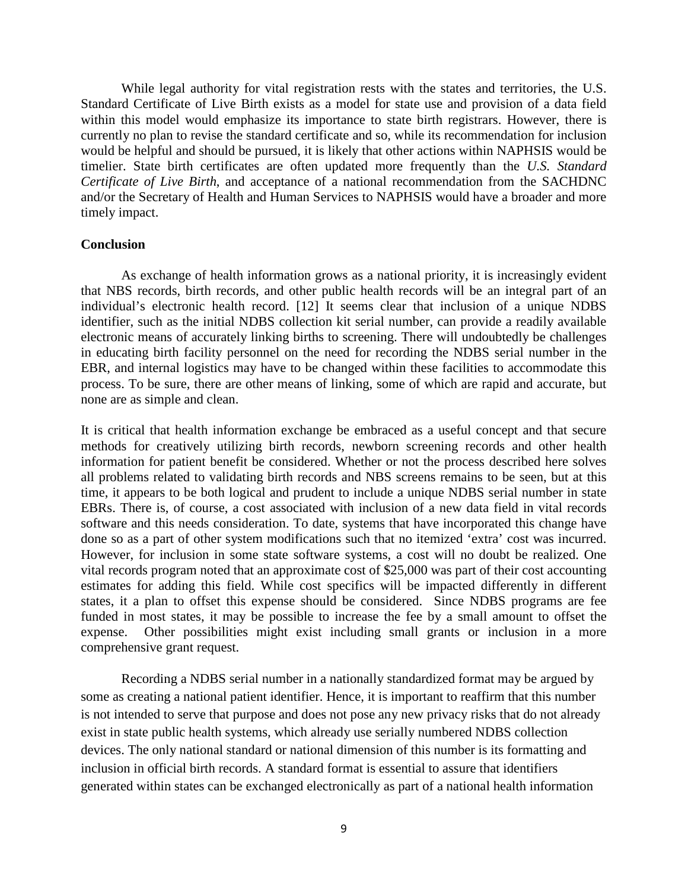While legal authority for vital registration rests with the states and territories, the U.S. Standard Certificate of Live Birth exists as a model for state use and provision of a data field within this model would emphasize its importance to state birth registrars. However, there is currently no plan to revise the standard certificate and so, while its recommendation for inclusion would be helpful and should be pursued, it is likely that other actions within NAPHSIS would be timelier. State birth certificates are often updated more frequently than the *U.S. Standard Certificate of Live Birth*, and acceptance of a national recommendation from the SACHDNC and/or the Secretary of Health and Human Services to NAPHSIS would have a broader and more timely impact.

### **Conclusion**

As exchange of health information grows as a national priority, it is increasingly evident that NBS records, birth records, and other public health records will be an integral part of an individual's electronic health record. [12] It seems clear that inclusion of a unique NDBS identifier, such as the initial NDBS collection kit serial number, can provide a readily available electronic means of accurately linking births to screening. There will undoubtedly be challenges in educating birth facility personnel on the need for recording the NDBS serial number in the EBR, and internal logistics may have to be changed within these facilities to accommodate this process. To be sure, there are other means of linking, some of which are rapid and accurate, but none are as simple and clean.

It is critical that health information exchange be embraced as a useful concept and that secure methods for creatively utilizing birth records, newborn screening records and other health information for patient benefit be considered. Whether or not the process described here solves all problems related to validating birth records and NBS screens remains to be seen, but at this time, it appears to be both logical and prudent to include a unique NDBS serial number in state EBRs. There is, of course, a cost associated with inclusion of a new data field in vital records software and this needs consideration. To date, systems that have incorporated this change have done so as a part of other system modifications such that no itemized 'extra' cost was incurred. However, for inclusion in some state software systems, a cost will no doubt be realized. One vital records program noted that an approximate cost of \$25,000 was part of their cost accounting estimates for adding this field. While cost specifics will be impacted differently in different states, it a plan to offset this expense should be considered. Since NDBS programs are fee funded in most states, it may be possible to increase the fee by a small amount to offset the expense. Other possibilities might exist including small grants or inclusion in a more comprehensive grant request.

Recording a NDBS serial number in a nationally standardized format may be argued by some as creating a national patient identifier. Hence, it is important to reaffirm that this number is not intended to serve that purpose and does not pose any new privacy risks that do not already exist in state public health systems, which already use serially numbered NDBS collection devices. The only national standard or national dimension of this number is its formatting and inclusion in official birth records. A standard format is essential to assure that identifiers generated within states can be exchanged electronically as part of a national health information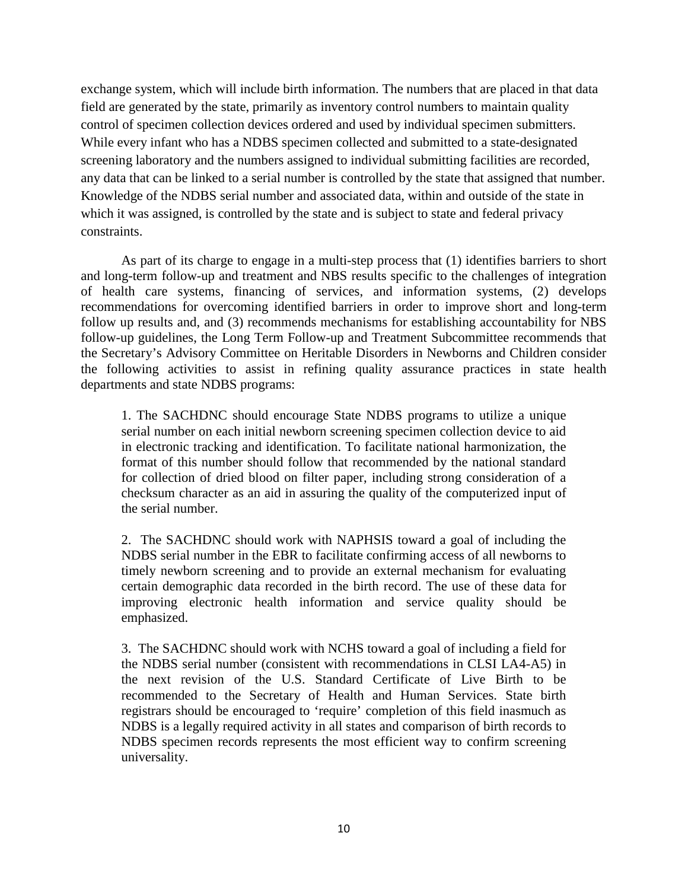exchange system, which will include birth information. The numbers that are placed in that data field are generated by the state, primarily as inventory control numbers to maintain quality control of specimen collection devices ordered and used by individual specimen submitters. While every infant who has a NDBS specimen collected and submitted to a state-designated screening laboratory and the numbers assigned to individual submitting facilities are recorded, any data that can be linked to a serial number is controlled by the state that assigned that number. Knowledge of the NDBS serial number and associated data, within and outside of the state in which it was assigned, is controlled by the state and is subject to state and federal privacy constraints.

As part of its charge to engage in a multi-step process that (1) identifies barriers to short and long-term follow-up and treatment and NBS results specific to the challenges of integration of health care systems, financing of services, and information systems, (2) develops recommendations for overcoming identified barriers in order to improve short and long-term follow up results and, and (3) recommends mechanisms for establishing accountability for NBS follow-up guidelines, the Long Term Follow-up and Treatment Subcommittee recommends that the Secretary's Advisory Committee on Heritable Disorders in Newborns and Children consider the following activities to assist in refining quality assurance practices in state health departments and state NDBS programs:

1. The SACHDNC should encourage State NDBS programs to utilize a unique serial number on each initial newborn screening specimen collection device to aid in electronic tracking and identification. To facilitate national harmonization, the format of this number should follow that recommended by the national standard for collection of dried blood on filter paper, including strong consideration of a checksum character as an aid in assuring the quality of the computerized input of the serial number.

2. The SACHDNC should work with NAPHSIS toward a goal of including the NDBS serial number in the EBR to facilitate confirming access of all newborns to timely newborn screening and to provide an external mechanism for evaluating certain demographic data recorded in the birth record. The use of these data for improving electronic health information and service quality should be emphasized.

3. The SACHDNC should work with NCHS toward a goal of including a field for the NDBS serial number (consistent with recommendations in CLSI LA4-A5) in the next revision of the U.S. Standard Certificate of Live Birth to be recommended to the Secretary of Health and Human Services. State birth registrars should be encouraged to 'require' completion of this field inasmuch as NDBS is a legally required activity in all states and comparison of birth records to NDBS specimen records represents the most efficient way to confirm screening universality.